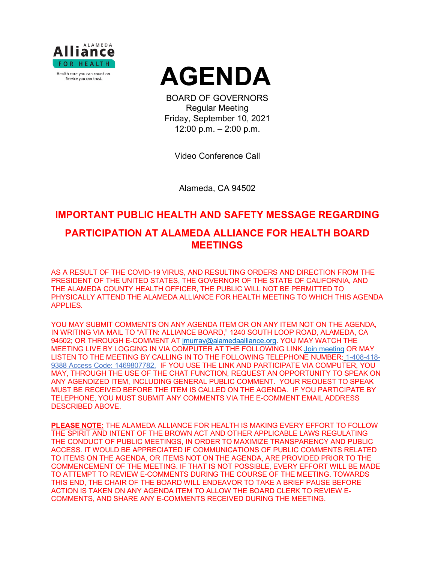



BOARD OF GOVERNORS Regular Meeting Friday, September 10, 2021 12:00 p.m. – 2:00 p.m.

Video Conference Call

Alameda, CA 94502

## **IMPORTANT PUBLIC HEALTH AND SAFETY MESSAGE REGARDING**

# **PARTICIPATION AT ALAMEDA ALLIANCE FOR HEALTH BOARD MEETINGS**

AS A RESULT OF THE COVID-19 VIRUS, AND RESULTING ORDERS AND DIRECTION FROM THE PRESIDENT OF THE UNITED STATES, THE GOVERNOR OF THE STATE OF CALIFORNIA, AND THE ALAMEDA COUNTY HEALTH OFFICER, THE PUBLIC WILL NOT BE PERMITTED TO PHYSICALLY ATTEND THE ALAMEDA ALLIANCE FOR HEALTH MEETING TO WHICH THIS AGENDA APPLIES.

YOU MAY SUBMIT COMMENTS ON ANY AGENDA ITEM OR ON ANY ITEM NOT ON THE AGENDA, IN WRITING VIA MAIL TO "ATTN: ALLIANCE BOARD," 1240 SOUTH LOOP ROAD, ALAMEDA, CA 94502; OR THROUGH E-COMMENT AT [jmurray@alamedaalliance.org.](mailto:jmurray@alamedaalliance.org) YOU MAY WATCH THE MEETING LIVE BY LOGGING IN VIA COMPUTER AT THE FOLLOWING LINK [Join meeting](https://alamedaalliance.webex.com/alamedaalliance/j.php?MTID=m4fefbe72831c76b47303fd84ed522225) OR MAY LISTEN TO THE MEETING BY CALLING IN TO THE FOLLOWING TELEPHONE NUMBER: 1-408-418- 9388 Access Code: 1469807782. IF YOU USE THE LINK AND PARTICIPATE VIA COMPUTER, YOU MAY, THROUGH THE USE OF THE CHAT FUNCTION, REQUEST AN OPPORTUNITY TO SPEAK ON ANY AGENDIZED ITEM, INCLUDING GENERAL PUBLIC COMMENT. YOUR REQUEST TO SPEAK MUST BE RECEIVED BEFORE THE ITEM IS CALLED ON THE AGENDA. IF YOU PARTICIPATE BY TELEPHONE, YOU MUST SUBMIT ANY COMMENTS VIA THE E-COMMENT EMAIL ADDRESS DESCRIBED ABOVE.

**PLEASE NOTE:** THE ALAMEDA ALLIANCE FOR HEALTH IS MAKING EVERY EFFORT TO FOLLOW THE SPIRIT AND INTENT OF THE BROWN ACT AND OTHER APPLICABLE LAWS REGULATING THE CONDUCT OF PUBLIC MEETINGS, IN ORDER TO MAXIMIZE TRANSPARENCY AND PUBLIC ACCESS. IT WOULD BE APPRECIATED IF COMMUNICATIONS OF PUBLIC COMMENTS RELATED TO ITEMS ON THE AGENDA, OR ITEMS NOT ON THE AGENDA, ARE PROVIDED PRIOR TO THE COMMENCEMENT OF THE MEETING. IF THAT IS NOT POSSIBLE, EVERY EFFORT WILL BE MADE TO ATTEMPT TO REVIEW E-COMMENTS DURING THE COURSE OF THE MEETING. TOWARDS THIS END, THE CHAIR OF THE BOARD WILL ENDEAVOR TO TAKE A BRIEF PAUSE BEFORE ACTION IS TAKEN ON ANY AGENDA ITEM TO ALLOW THE BOARD CLERK TO REVIEW E-COMMENTS, AND SHARE ANY E-COMMENTS RECEIVED DURING THE MEETING.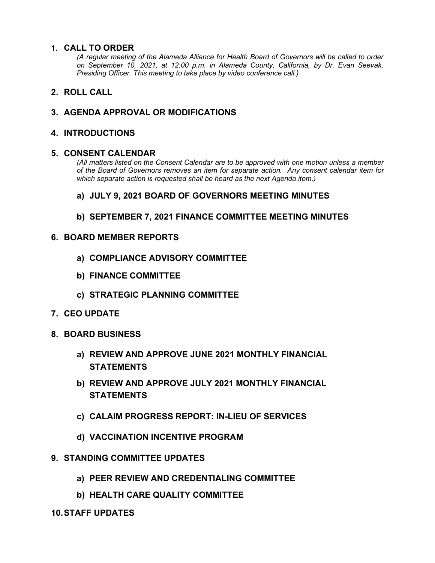### **1. CALL TO ORDER**

*(A regular meeting of the Alameda Alliance for Health Board of Governors will be called to order on September 10, 2021, at 12:00 p.m. in Alameda County, California, by Dr. Evan Seevak, Presiding Officer. This meeting to take place by video conference call.)*

**2. ROLL CALL**

## **3. AGENDA APPROVAL OR MODIFICATIONS**

### **4. INTRODUCTIONS**

#### **5. CONSENT CALENDAR**

*(All matters listed on the Consent Calendar are to be approved with one motion unless a member of the Board of Governors removes an item for separate action. Any consent calendar item for which separate action is requested shall be heard as the next Agenda item.)*

### **a) JULY 9, 2021 BOARD OF GOVERNORS MEETING MINUTES**

**b) SEPTEMBER 7, 2021 FINANCE COMMITTEE MEETING MINUTES**

#### **6. BOARD MEMBER REPORTS**

- **a) COMPLIANCE ADVISORY COMMITTEE**
- **b) FINANCE COMMITTEE**
- **c) STRATEGIC PLANNING COMMITTEE**
- **7. CEO UPDATE**
- **8. BOARD BUSINESS**
	- **a) REVIEW AND APPROVE JUNE 2021 MONTHLY FINANCIAL STATEMENTS**
	- **b) REVIEW AND APPROVE JULY 2021 MONTHLY FINANCIAL STATEMENTS**
	- **c) CALAIM PROGRESS REPORT: IN-LIEU OF SERVICES**
	- **d) VACCINATION INCENTIVE PROGRAM**
- **9. STANDING COMMITTEE UPDATES**
	- **a) PEER REVIEW AND CREDENTIALING COMMITTEE**
	- **b) HEALTH CARE QUALITY COMMITTEE**
- **10.STAFF UPDATES**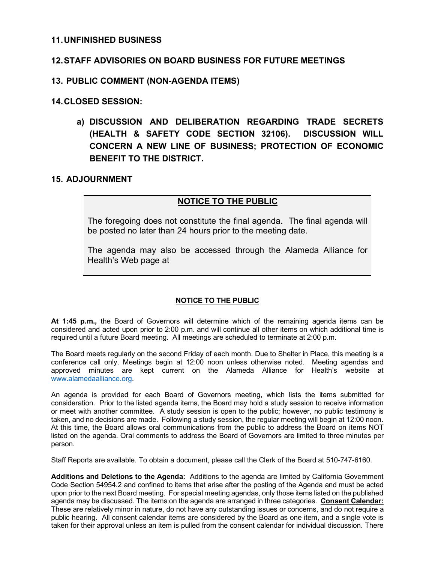#### **11.UNFINISHED BUSINESS**

### **12.STAFF ADVISORIES ON BOARD BUSINESS FOR FUTURE MEETINGS**

#### **13. PUBLIC COMMENT (NON-AGENDA ITEMS)**

#### **14.CLOSED SESSION:**

**a) DISCUSSION AND DELIBERATION REGARDING TRADE SECRETS (HEALTH & SAFETY CODE SECTION 32106). DISCUSSION WILL CONCERN A NEW LINE OF BUSINESS; PROTECTION OF ECONOMIC BENEFIT TO THE DISTRICT.** 

### **15. ADJOURNMENT**

### **NOTICE TO THE PUBLIC**

The foregoing does not constitute the final agenda. The final agenda will be posted no later than 24 hours prior to the meeting date.

The agenda may also be accessed through the Alameda Alliance for Health's Web page at

#### **NOTICE TO THE PUBLIC**

**At 1:45 p.m.,** the Board of Governors will determine which of the remaining agenda items can be considered and acted upon prior to 2:00 p.m. and will continue all other items on which additional time is required until a future Board meeting. All meetings are scheduled to terminate at 2:00 p.m.

The Board meets regularly on the second Friday of each month. Due to Shelter in Place, this meeting is a conference call only. Meetings begin at 12:00 noon unless otherwise noted. Meeting agendas and approved minutes are kept current on the Alameda Alliance for Health's website at [www.alamedaalliance.org.](http://www.alamedaalliance.org/)

An agenda is provided for each Board of Governors meeting, which lists the items submitted for consideration. Prior to the listed agenda items, the Board may hold a study session to receive information or meet with another committee. A study session is open to the public; however, no public testimony is taken, and no decisions are made. Following a study session, the regular meeting will begin at 12:00 noon. At this time, the Board allows oral communications from the public to address the Board on items NOT listed on the agenda. Oral comments to address the Board of Governors are limited to three minutes per person.

Staff Reports are available. To obtain a document, please call the Clerk of the Board at 510-747-6160.

**Additions and Deletions to the Agenda:** Additions to the agenda are limited by California Government Code Section 54954.2 and confined to items that arise after the posting of the Agenda and must be acted upon prior to the next Board meeting. For special meeting agendas, only those items listed on the published agenda may be discussed. The items on the agenda are arranged in three categories. **Consent Calendar:** These are relatively minor in nature, do not have any outstanding issues or concerns, and do not require a public hearing. All consent calendar items are considered by the Board as one item, and a single vote is taken for their approval unless an item is pulled from the consent calendar for individual discussion. There